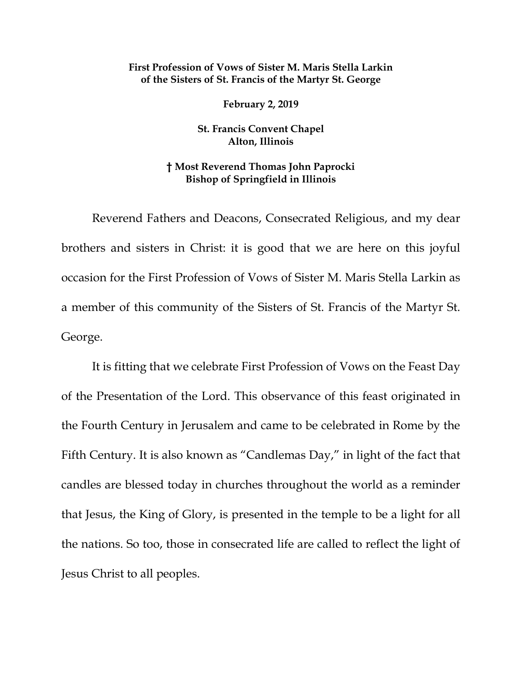## **First Profession of Vows of Sister M. Maris Stella Larkin of the Sisters of St. Francis of the Martyr St. George**

**February 2, 2019**

**St. Francis Convent Chapel Alton, Illinois**

## **† Most Reverend Thomas John Paprocki Bishop of Springfield in Illinois**

Reverend Fathers and Deacons, Consecrated Religious, and my dear brothers and sisters in Christ: it is good that we are here on this joyful occasion for the First Profession of Vows of Sister M. Maris Stella Larkin as a member of this community of the Sisters of St. Francis of the Martyr St. George.

It is fitting that we celebrate First Profession of Vows on the Feast Day of the Presentation of the Lord. This observance of this feast originated in the Fourth Century in Jerusalem and came to be celebrated in Rome by the Fifth Century. It is also known as "Candlemas Day," in light of the fact that candles are blessed today in churches throughout the world as a reminder that Jesus, the King of Glory, is presented in the temple to be a light for all the nations. So too, those in consecrated life are called to reflect the light of Jesus Christ to all peoples.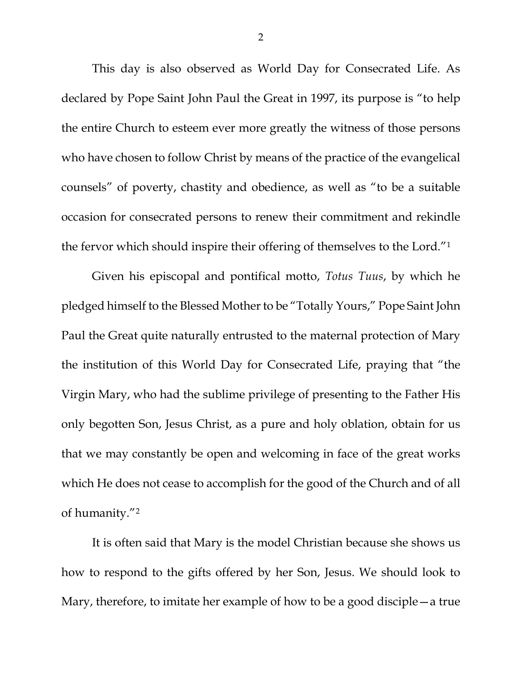This day is also observed as World Day for Consecrated Life. As declared by Pope Saint John Paul the Great in 1997, its purpose is "to help the entire Church to esteem ever more greatly the witness of those persons who have chosen to follow Christ by means of the practice of the evangelical counsels" of poverty, chastity and obedience, as well as "to be a suitable occasion for consecrated persons to renew their commitment and rekindle the fervor which should inspire their offering of themselves to the Lord."[1](#page-2-0)

Given his episcopal and pontifical motto, *Totus Tuus*, by which he pledged himself to the Blessed Mother to be "Totally Yours," Pope Saint John Paul the Great quite naturally entrusted to the maternal protection of Mary the institution of this World Day for Consecrated Life, praying that "the Virgin Mary, who had the sublime privilege of presenting to the Father His only begotten Son, Jesus Christ, as a pure and holy oblation, obtain for us that we may constantly be open and welcoming in face of the great works which He does not cease to accomplish for the good of the Church and of all of humanity."[2](#page-2-1)

It is often said that Mary is the model Christian because she shows us how to respond to the gifts offered by her Son, Jesus. We should look to Mary, therefore, to imitate her example of how to be a good disciple—a true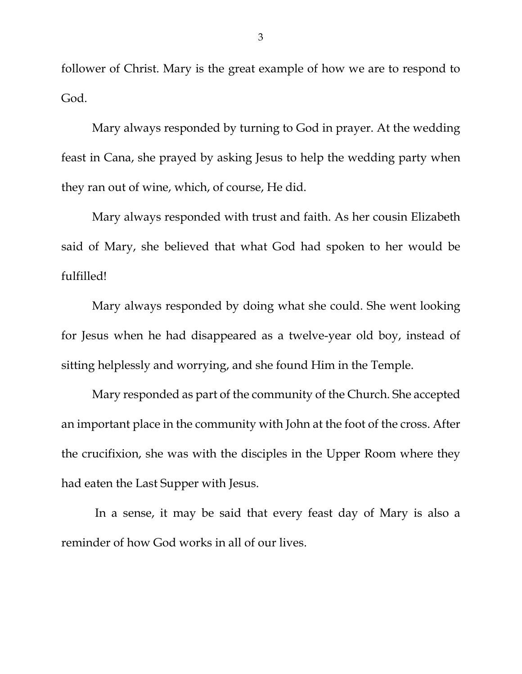follower of Christ. Mary is the great example of how we are to respond to God.

Mary always responded by turning to God in prayer. At the wedding feast in Cana, she prayed by asking Jesus to help the wedding party when they ran out of wine, which, of course, He did.

Mary always responded with trust and faith. As her cousin Elizabeth said of Mary, she believed that what God had spoken to her would be fulfilled!

Mary always responded by doing what she could. She went looking for Jesus when he had disappeared as a twelve-year old boy, instead of sitting helplessly and worrying, and she found Him in the Temple.

Mary responded as part of the community of the Church. She accepted an important place in the community with John at the foot of the cross. After the crucifixion, she was with the disciples in the Upper Room where they had eaten the Last Supper with Jesus.

<span id="page-2-1"></span><span id="page-2-0"></span>In a sense, it may be said that every feast day of Mary is also a reminder of how God works in all of our lives.

3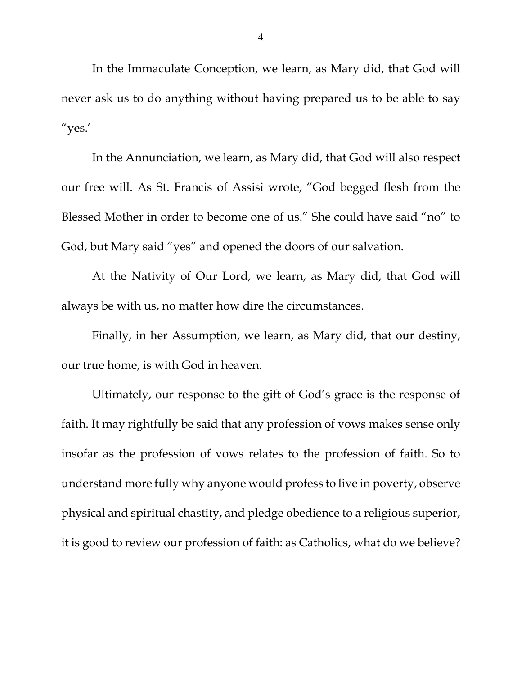In the Immaculate Conception, we learn, as Mary did, that God will never ask us to do anything without having prepared us to be able to say "yes.'

In the Annunciation, we learn, as Mary did, that God will also respect our free will. As St. Francis of Assisi wrote, "God begged flesh from the Blessed Mother in order to become one of us." She could have said "no" to God, but Mary said "yes" and opened the doors of our salvation.

At the Nativity of Our Lord, we learn, as Mary did, that God will always be with us, no matter how dire the circumstances.

Finally, in her Assumption, we learn, as Mary did, that our destiny, our true home, is with God in heaven.

Ultimately, our response to the gift of God's grace is the response of faith. It may rightfully be said that any profession of vows makes sense only insofar as the profession of vows relates to the profession of faith. So to understand more fully why anyone would profess to live in poverty, observe physical and spiritual chastity, and pledge obedience to a religious superior, it is good to review our profession of faith: as Catholics, what do we believe?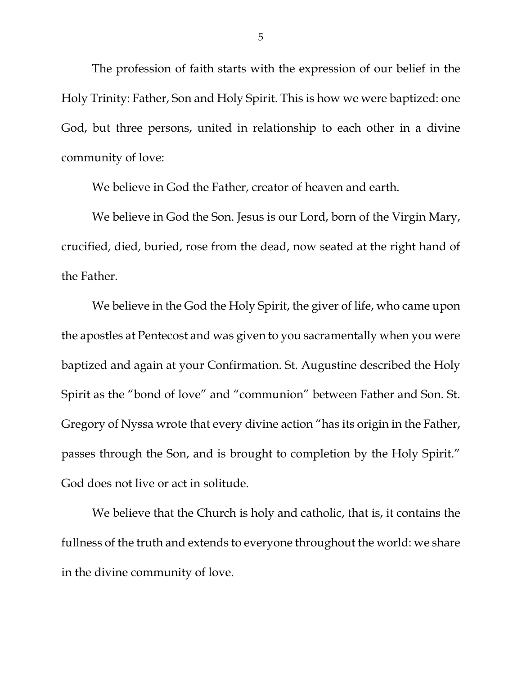The profession of faith starts with the expression of our belief in the Holy Trinity: Father, Son and Holy Spirit. This is how we were baptized: one God, but three persons, united in relationship to each other in a divine community of love:

We believe in God the Father, creator of heaven and earth.

We believe in God the Son. Jesus is our Lord, born of the Virgin Mary, crucified, died, buried, rose from the dead, now seated at the right hand of the Father.

We believe in the God the Holy Spirit, the giver of life, who came upon the apostles at Pentecost and was given to you sacramentally when you were baptized and again at your Confirmation. St. Augustine described the Holy Spirit as the "bond of love" and "communion" between Father and Son. St. Gregory of Nyssa wrote that every divine action "has its origin in the Father, passes through the Son, and is brought to completion by the Holy Spirit." God does not live or act in solitude.

We believe that the Church is holy and catholic, that is, it contains the fullness of the truth and extends to everyone throughout the world: we share in the divine community of love.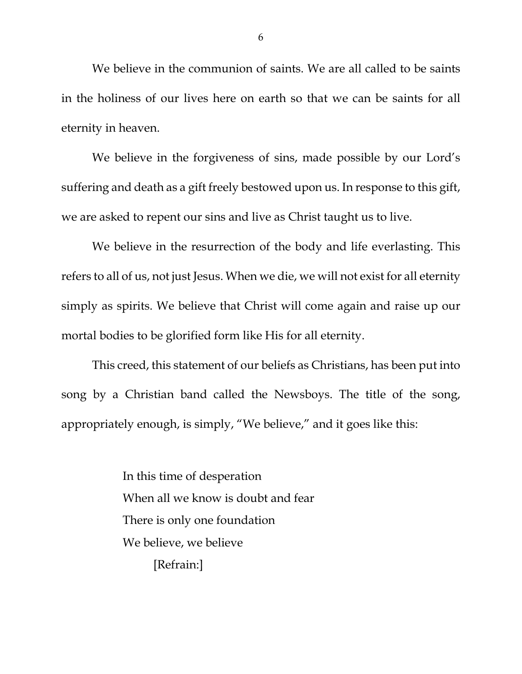We believe in the communion of saints. We are all called to be saints in the holiness of our lives here on earth so that we can be saints for all eternity in heaven.

We believe in the forgiveness of sins, made possible by our Lord's suffering and death as a gift freely bestowed upon us. In response to this gift, we are asked to repent our sins and live as Christ taught us to live.

We believe in the resurrection of the body and life everlasting. This refers to all of us, not just Jesus. When we die, we will not exist for all eternity simply as spirits. We believe that Christ will come again and raise up our mortal bodies to be glorified form like His for all eternity.

This creed, this statement of our beliefs as Christians, has been put into song by a Christian band called the Newsboys. The title of the song, appropriately enough, is simply, "We believe," and it goes like this:

> In this time of desperation When all we know is doubt and fear There is only one foundation We believe, we believe [Refrain:]